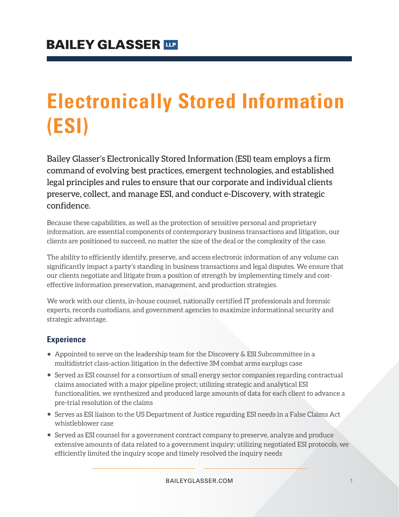# **Electronically Stored Information (ESI)**

Bailey Glasser's Electronically Stored Information (ESI) team employs a firm command of evolving best practices, emergent technologies, and established legal principles and rules to ensure that our corporate and individual clients preserve, collect, and manage ESI, and conduct e-Discovery, with strategic confidence.

Because these capabilities, as well as the protection of sensitive personal and proprietary information, are essential components of contemporary business transactions and litigation, our clients are positioned to succeed, no matter the size of the deal or the complexity of the case.

The ability to efficiently identify, preserve, and access electronic information of any volume can significantly impact a party's standing in business transactions and legal disputes. We ensure that our clients negotiate and litigate from a position of strength by implementing timely and costeffective information preservation, management, and production strategies.

We work with our clients, in-house counsel, nationally certified IT professionals and forensic experts, records custodians, and government agencies to maximize informational security and strategic advantage.

### **Experience**

- Appointed to serve on the leadership team for the Discovery & ESI Subcommittee in a multidistrict class-action litigation in the defective 3M combat arms earplugs case
- Served as ESI counsel for a consortium of small energy sector companies regarding contractual claims associated with a major pipeline project; utilizing strategic and analytical ESI functionalities, we synthesized and produced large amounts of data for each client to advance a pre-trial resolution of the claims
- Serves as ESI liaison to the US Department of Justice regarding ESI needs in a False Claims Act whistleblower case
- Served as ESI counsel for a government contract company to preserve, analyze and produce extensive amounts of data related to a government inquiry; utilizing negotiated ESI protocols, we efficiently limited the inquiry scope and timely resolved the inquiry needs